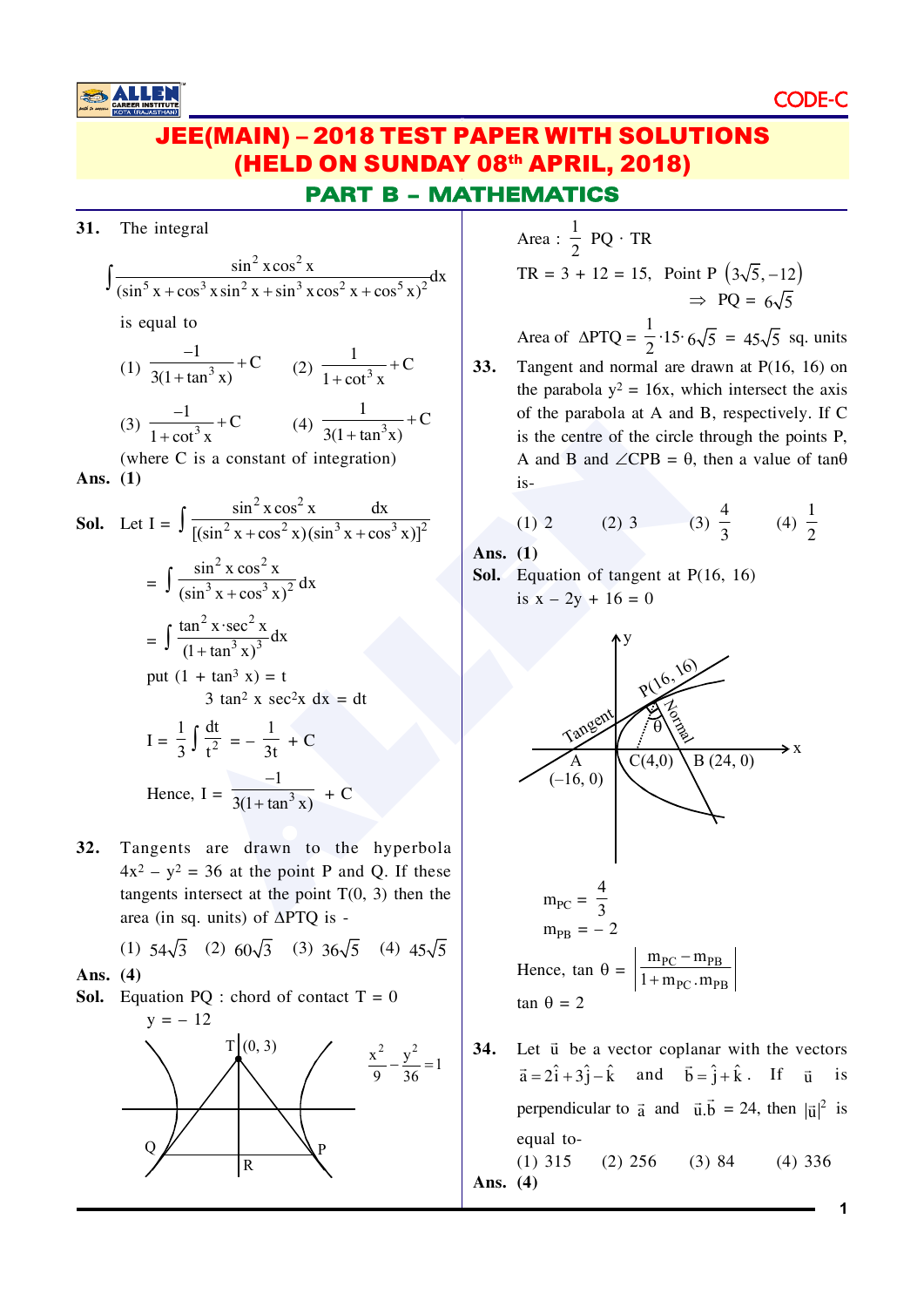## **JEE(MAIN) - 2018 TEST PAPER WITH SOLUTIONS** (HELD ON SUNDAY 08th APRIL, 2018) **PART B - MATHEMATICS**

31. The integral

$$
\int \frac{\sin^2 x \cos^2 x}{(\sin^5 x + \cos^3 x \sin^2 x + \sin^3 x \cos^2 x + \cos^5 x)^2} dx
$$

is equal to

(1) 
$$
\frac{-1}{3(1 + \tan^3 x)} + C
$$
 (2)  $\frac{1}{1 + \cot^3 x} + C$ 

(3) 
$$
\frac{-1}{1 + \cot^3 x} + C
$$
 (4)  $\frac{1}{3(1 + \tan^3 x)} + C$ 

(where C is a constant of integration) Ans.  $(1)$ 

**Sol.** Let 
$$
I = \int \frac{\sin^2 x \cos^2 x}{[(\sin^2 x + \cos^2 x)(\sin^3 x + \cos^3 x)]^2}
$$
  
\n
$$
= \int \frac{\sin^2 x \cos^2 x}{(\sin^3 x + \cos^3 x)^2} dx
$$
\n
$$
= \int \frac{\tan^2 x \cdot \sec^2 x}{(1 + \tan^3 x)^3} dx
$$
\nput  $(1 + \tan^3 x) = t$   
\n $3 \tan^2 x \sec^2 x dx = dt$   
\n
$$
I = \frac{1}{3} \int \frac{dt}{t^2} = -\frac{1}{3t} + C
$$
\nHence,  $I = \frac{-1}{3(1 + \tan^3 x)} + C$ 

Tangents are drawn to the hyperbola  $32.$  $4x^2 - y^2 = 36$  at the point P and Q. If these tangents intersect at the point  $T(0, 3)$  then the area (in sq. units) of  $\triangle PTQ$  is -

(1)  $54\sqrt{3}$  (2)  $60\sqrt{3}$  (3)  $36\sqrt{5}$  (4)  $45\sqrt{5}$ Ans.  $(4)$ 

**Sol.** Equation PQ : chord of contact  $T = 0$ 



Area :  $\frac{1}{2}$  PQ · TR

$$
TR = 3 + 12 = 15, Point P \left(3\sqrt{5}, -12\right)
$$

$$
\Rightarrow PQ = 6\sqrt{5}
$$

Area of  $\triangle PTQ = \frac{1}{2} \cdot 15 \cdot 6\sqrt{5} = 45\sqrt{5}$  sq. units

 $33.$ Tangent and normal are drawn at  $P(16, 16)$  on the parabola  $y^2 = 16x$ , which intersect the axis of the parabola at A and B, respectively. If C is the centre of the circle through the points P, A and B and  $\angle$ CPB =  $\theta$ , then a value of tan $\theta$  $is-$ 

(1) 2 (2) 3 (3) 
$$
\frac{4}{3}
$$
 (4)  $\frac{1}{2}$ 

Ans.  $(1)$ 

**Sol.** Equation of tangent at  $P(16, 16)$ is  $x - 2y + 16 = 0$ 



34. Let  $\vec{u}$  be a vector coplanar with the vectors  $\vec{a} = 2\hat{i} + 3\hat{j} - \hat{k}$  and  $\vec{b} = \hat{j} + \hat{k}$ . If  $\vec{u}$  is perpendicular to  $\vec{a}$  and  $\vec{u} \cdot \vec{b} = 24$ , then  $|\vec{u}|^2$  is equal to- $(1)$  315  $(2)$  256  $(3) 84$  $(4)$  336 Ans.  $(4)$ 

1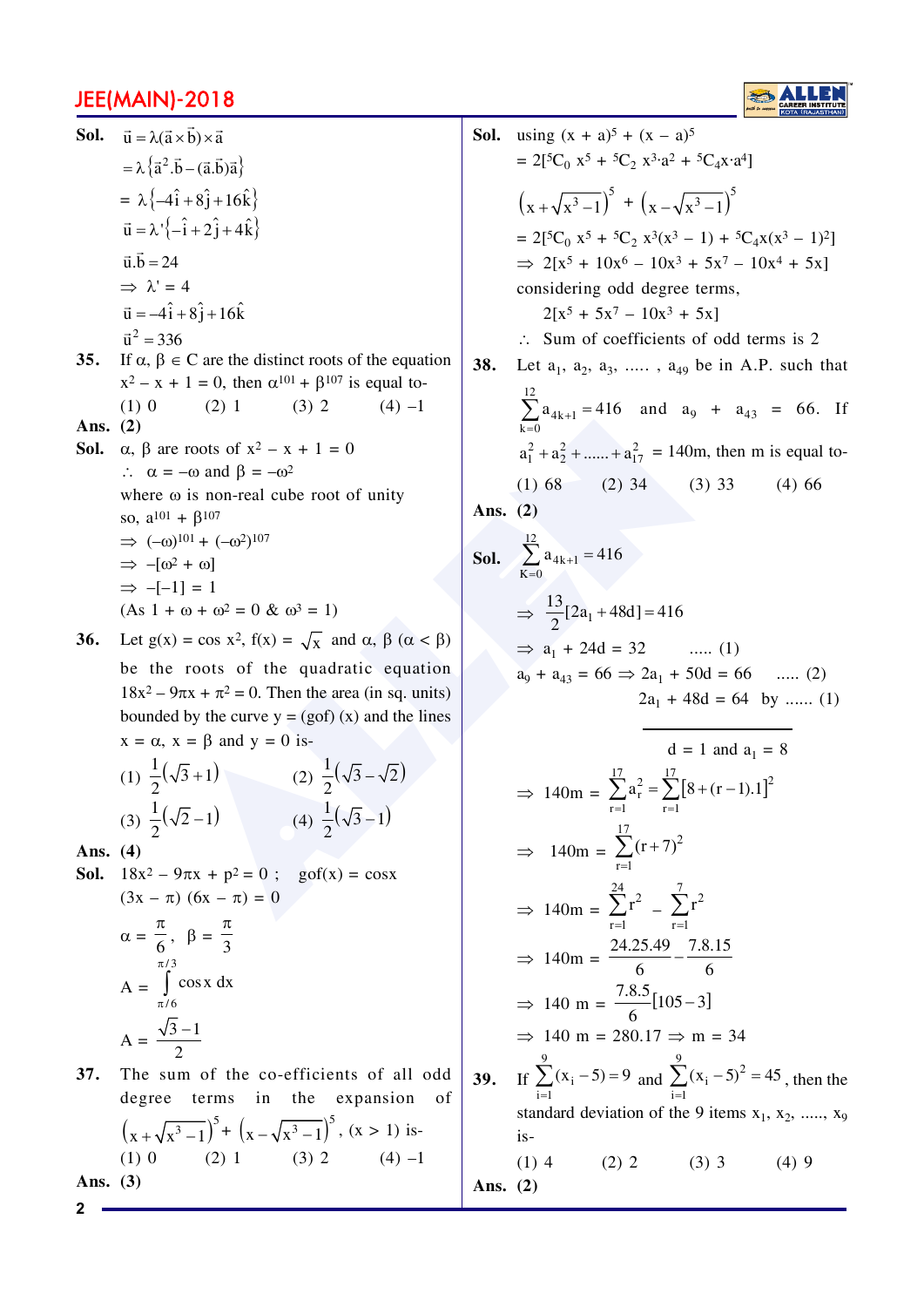

**Sol.** 
$$
\vec{u} = \lambda(\vec{a} \times \vec{b}) \times \vec{a}
$$
  
\n $= \lambda \{\vec{a}^2 \cdot \vec{b} - (\vec{a} \cdot \vec{b})\vec{a}\}$   
\n $= \lambda \{-\hat{i} + 8\hat{j} + 16\hat{k}\}$   
\n $\vec{u} = \lambda' \{-\hat{i} + 2\hat{j} + 4\hat{k}\}$   
\n $\vec{u} \cdot \vec{b} = 24$   
\n $\Rightarrow \lambda' = 4$   
\n $\vec{u} = -4\hat{i} + 8\hat{j} + 16\hat{k}$   
\n $\vec{u}^2 = 336$   
\n**35.** If  $\alpha, \beta \in \mathbb{C}$  are the distinct roots of the equation  
\n $x^2 - x + 1 = 0$ , then  $\alpha^{101} + \beta^{107}$  is equal to-  
\n(1) 0 (2) 1 (3) 2 (4) -1  
\n**Ans.** (2)  
\n**Sol.**  $\alpha, \beta$  are roots of  $x^2 - x + 1 = 0$   
\n $\therefore \alpha = -\omega$  and  $\beta = -\omega^2$   
\nwhere  $\omega$  is non-real cube root of unity  
\nso,  $a^{101} + \beta^{107}$   
\n $\Rightarrow (-\omega)^{101} + (-\omega^2)^{107}$   
\n $\Rightarrow -[\omega^2 + \omega]$   
\n $\Rightarrow -[-1] = 1$   
\n(As  $1 + \omega + \omega^2 = 0$  &  $\omega^3 = 1$ )  
\n**36.** Let  $g(x) = \cos x^2$ ,  $f(x) = \sqrt{x}$  and  $\alpha, \beta$  ( $\alpha < \beta$ )  
\nbe the roots of the quadratic equation  
\n $18x^2 - 9\pi x + \pi^2 = 0$ . Then the area (in sq. units)

tion nits) bounded by the curve  $y = (gof)(x)$  and the lines  $x = \alpha$ ,  $x = \beta$  and  $y = 0$  is- $\overline{1}$ 

(1) 
$$
\frac{1}{2}(\sqrt{3}+1)
$$
 (2)  $\frac{1}{2}(\sqrt{3}-\sqrt{2})$   
(3)  $\frac{1}{2}(\sqrt{2}-1)$  (4)  $\frac{1}{2}(\sqrt{3}-1)$ 

Ans.  $(4)$ 

**Sol.** 
$$
18x^2 - 9\pi x + p^2 = 0
$$
;  $gof(x) = cosx$   
\n $(3x - \pi) (6x - \pi) = 0$   
\n $\alpha = \frac{\pi}{6}, \ \beta = \frac{\pi}{3}$   
\n $A = \int cosx dx$ 

$$
A = \frac{\sqrt{3} - 1}{2}
$$

37. The sum of the co-efficients of all odd degree terms in the expansion of  $\left(x+\sqrt{x^3-1}\right)^5 + \left(x-\sqrt{x^3-1}\right)^5$ ,  $(x > 1)$  is- $(2) 1$  $(3) 2$  $(1)$  0  $(4) -1$ Ans.  $(3)$ 

**Sol.** using 
$$
(x + a)^5 + (x - a)^5
$$
  
\n $= 2[^{5}C_0 x^5 + {}^{5}C_2 x^3 \cdot a^2 + {}^{5}C_4 x \cdot a^4]$   
\n $\left(x + \sqrt{x^3 - 1}\right)^5 + \left(x - \sqrt{x^3 - 1}\right)^5$   
\n $= 2[^{5}C_0 x^5 + {}^{5}C_2 x^3 (x^3 - 1) + {}^{5}C_4 x (x^3 - 1)^2]$   
\n $\Rightarrow 2[x^5 + 10x^6 - 10x^3 + 5x^7 - 10x^4 + 5x]$   
\nconsidering odd degree terms,  
\n $2[x^5 + 5x^7 - 10x^3 + 5x]$   
\n $\therefore$  Sum of coefficients of odd terms is 2  
\n**38.** Let  $a_1$ ,  $a_2$ ,  $a_3$ , .......,  $a_{49}$  be in A.P. such that  
\n $\sum_{k=0}^{12} a_{4k+1} = 416$  and  $a_9 + a_{43} = 66$ . If  
\n $a_1^2 + a_2^2 + ...... + a_{17}^2 = 140m$ , then m is equal to-  
\n(1) 68 (2) 34 (3) 33 (4) 66  
\n**Ans.** (2)  
\n**Sol.**  $\sum_{k=0}^{12} a_{4k+1} = 416$   
\n $\Rightarrow \frac{13}{2}[2a_1 + 48d] = 416$   
\n $\Rightarrow a_1 + 24d = 32$  .... (1)  
\n $a_9 + a_{43} = 66 \Rightarrow 2a_1 + 50d = 66$  .... (2)  
\n $2a_1 + 48d = 64$  by ...... (1)  
\n $d = 1$  and  $a_1 = 8$   
\n $\Rightarrow 140m = \sum_{r=1}^{17} (r + 7)^2$   
\n $\Rightarrow 140m = \sum_{r=1}^{27} (r + 7)^2$   
\n $\Rightarrow 140m = \frac{24.25.49}{6} - \frac{7.8.15}{6}$ 

Ans. (2)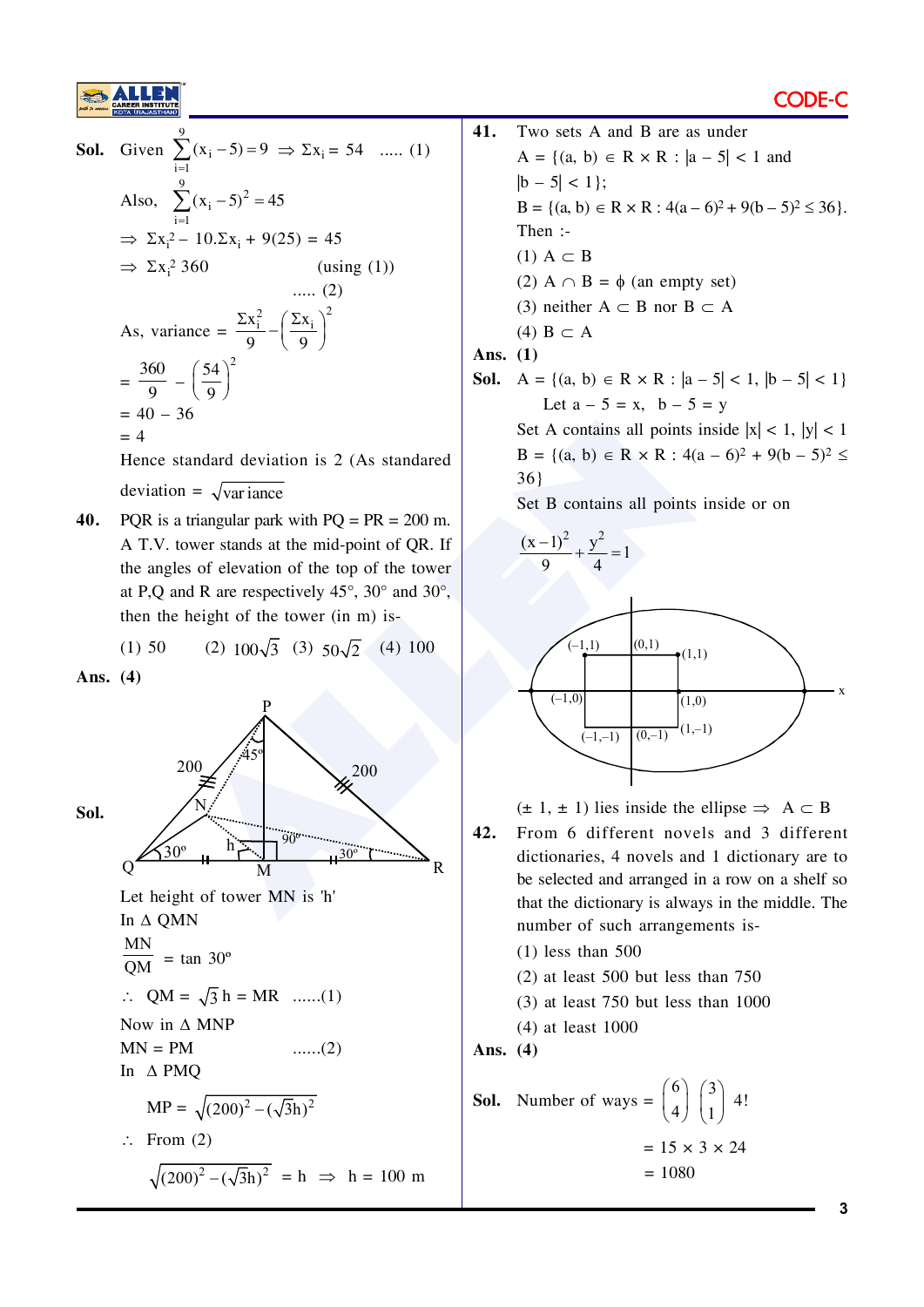

**Sol.** Given 
$$
\sum_{i=1}^{9} (x_i - 5) = 9 \implies \sum x_i = 54
$$
 ...... (1)  
\nAlso,  $\sum_{i=1}^{9} (x_i - 5)^2 = 45$   
\n $\implies \sum x_i^2 - 10 \cdot \sum x_i + 9(25) = 45$   
\n $\implies \sum x_i^2 360$  (using (1))  
\n...... (2)  
\nAs, variance =  $\frac{\sum x_i^2}{9} - (\frac{\sum x_i}{9})^2$   
\n $= \frac{360}{9} - (\frac{54}{9})^2$   
\n $= 40 - 36$   
\n $= 4$   
\nHence standard deviation is 2 (As standard

deviation =  $\sqrt{\text{variance}}$ 

40. PQR is a triangular park with  $PQ = PR = 200$  m. A T.V. tower stands at the mid-point of QR. If the angles of elevation of the top of the tower at P,Q and R are respectively  $45^{\circ}$ ,  $30^{\circ}$  and  $30^{\circ}$ , then the height of the tower (in m) is-

(1) 50 (2) 
$$
100\sqrt{3}
$$
 (3)  $50\sqrt{2}$  (4) 100

Ans.  $(4)$ 



```
41.Two sets A and B are as under
A = \{(a, b) \in R \times R : |a - 5| < 1 \text{ and }|b - 5| < 1;
B = \{(a, b) \in R \times R : 4(a-6)^2 + 9(b-5)^2 \le 36\}.Then :-
(1) A \subset B
(2) A \cap B = \phi (an empty set)
(3) neither A \subset B nor B \subset A(4) B \subset AAns. (1)Sol. A = {(a, b) \in R \times R : |a-5| < 1, |b-5| < 1}
```
Let 
$$
a - 5 = x
$$
,  $b - 5 = y$   
at A containing all points inside by

Set A contains all points inside  $|x| < 1$ ,  $|y| < 1$  $B = \{(a, b) \in R \times R : 4(a - 6)^2 + 9(b - 5)^2 \le$  $36$ }

Set B contains all points inside or on



 $(\pm 1, \pm 1)$  lies inside the ellipse  $\Rightarrow A \subset B$ 

- 42. From 6 different novels and 3 different dictionaries, 4 novels and 1 dictionary are to be selected and arranged in a row on a shelf so that the dictionary is always in the middle. The number of such arrangements is-
	- $(1)$  less than 500
	- $(2)$  at least 500 but less than 750
	- $(3)$  at least 750 but less than 1000
	- $(4)$  at least 1000

Ans.  $(4)$ 

**Sol.** Number of ways = 
$$
\binom{6}{4} \binom{3}{1} 4!
$$
  
= 15 × 3 × 24  
= 1080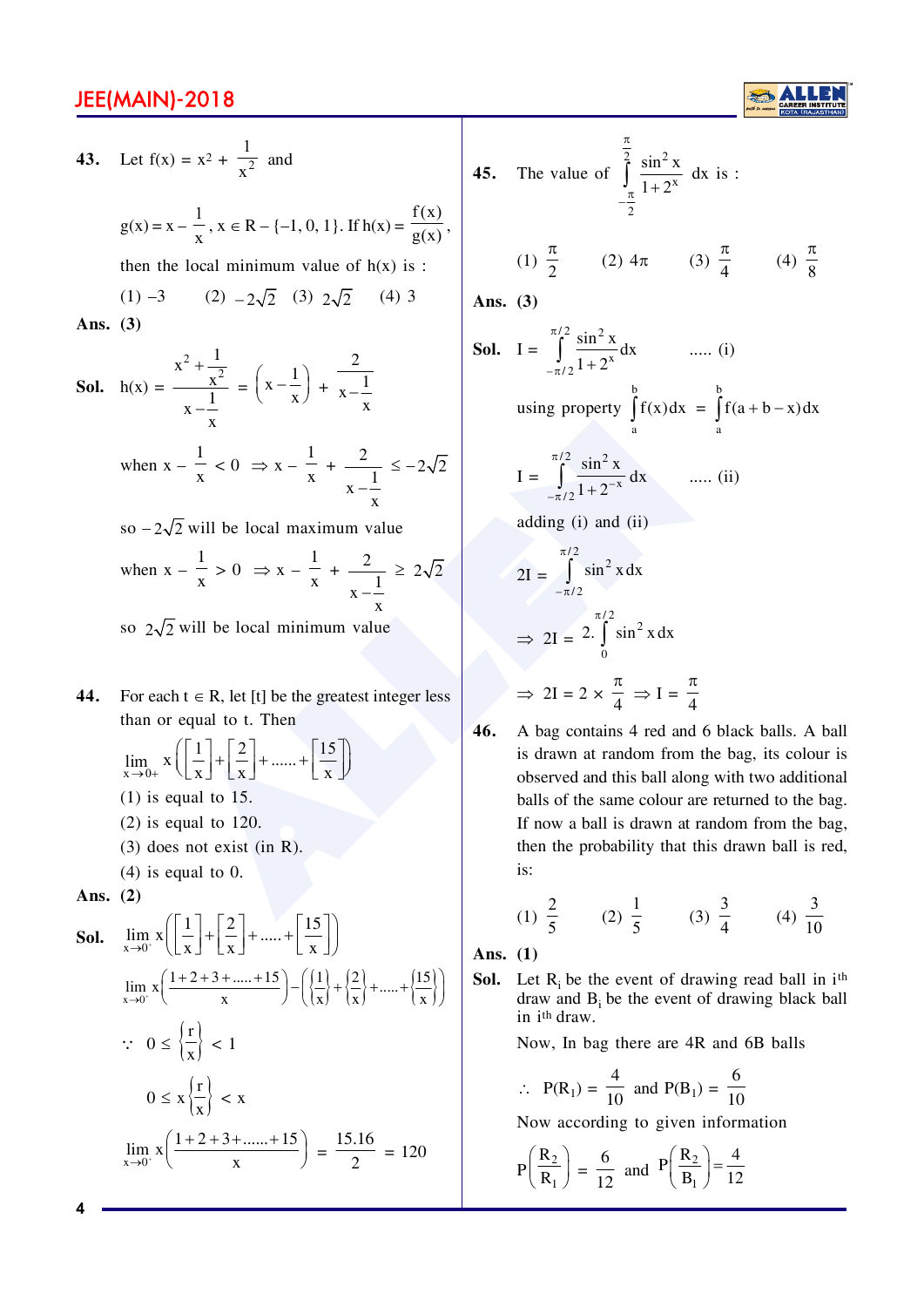43. Let 
$$
f(x) = x^2 + \frac{1}{x^2}
$$
 and  
\n $g(x) = x - \frac{1}{x}$ ,  $x \in R - \{-1, 0, 1\}$ . If  $h(x) = \frac{f(x)}{g(x)}$ ,  
\nthen the local minimum value of  $h(x)$  is :  
\n(1) -3 (2) -2 $\sqrt{2}$  (3)  $2\sqrt{2}$  (4) 3  
\n**Ans.** (3)  
\n**Sol.**  $h(x) = \frac{x^2 + \frac{1}{x^2}}{x - \frac{1}{x}} = \left(x - \frac{1}{x}\right) + \frac{2}{x - \frac{1}{x}}$   
\nwhen  $x - \frac{1}{x} < 0 \implies x - \frac{1}{x} + \frac{2}{x - \frac{1}{x}} \le -2\sqrt{2}$   
\nso  $-2\sqrt{2}$  will be local maximum value  
\nwhen  $x - \frac{1}{x} > 0 \implies x - \frac{1}{x} + \frac{2}{x - \frac{1}{x}} \ge 2\sqrt{2}$ 

so  $2\sqrt{2}$  will be local minimum value

 $\bar{\mathbf{x}}$ 

- For each  $t \in R$ , let [t] be the greatest integer less 44. than or equal to t. Then
	- $\lim_{x\to 0+} x \left( \left[ \frac{1}{x} \right] + \left[ \frac{2}{x} \right] + \dots + \left[ \frac{15}{x} \right] \right)$  $(1)$  is equal to 15.
	- $(2)$  is equal to 120.
	- $(3)$  does not exist (in R).
	- $(4)$  is equal to 0.

Ans.  $(2)$ 

**Sol.** 
$$
\lim_{x \to 0^{+}} x \left( \left[ \frac{1}{x} \right] + \left[ \frac{2}{x} \right] + \dots + \left[ \frac{15}{x} \right] \right)
$$

$$
\lim_{x \to 0^{+}} x \left( \frac{1+2+3+\dots+15}{x} \right) - \left( \left\{ \frac{1}{x} \right\} + \left\{ \frac{2}{x} \right\} + \dots + \left\{ \frac{15}{x} \right\} \right)
$$

$$
\therefore 0 \le \left\{ \frac{r}{x} \right\} < 1
$$

$$
0 \le x \left\{ \frac{r}{x} \right\} < x
$$

$$
\lim_{x \to 0^{+}} x \left( \frac{1+2+3+\dots+15}{x} \right) = \frac{15.16}{2} = 120
$$

45. The value of 
$$
\int_{-\frac{\pi}{2}}^{\frac{\pi}{2}} \frac{\sin^2 x}{1 + 2^x} dx
$$
 is :

(1) 
$$
\frac{\pi}{2}
$$
 (2)  $4\pi$  (3)  $\frac{\pi}{4}$  (4)  $\frac{\pi}{8}$ 

Ans.  $(3)$ 

**Sol.** 
$$
I = \int_{-\pi/2}^{\pi/2} \frac{\sin^2 x}{1 + 2^x} dx
$$
 ..... (i)  
using property  $\int_{a}^{b} f(x) dx = \int_{a}^{b} f(a+b-x) dx$ 

$$
I = \int_{-\pi/2}^{\pi/2} \frac{\sin^2 x}{1 + 2^{-x}} dx \qquad \dots (ii)
$$

adding 
$$
(i)
$$
 and  $(ii)$ 

$$
2I = \int_{-\pi/2}^{\pi/2} \sin^2 x \, dx
$$
  
\n
$$
\Rightarrow 2I = 2 \cdot \int_{0}^{\pi/2} \sin^2 x \, dx
$$
  
\n
$$
\Rightarrow 2I = 2 \times \frac{\pi}{4} \Rightarrow I = \frac{\pi}{4}
$$

46. A bag contains 4 red and 6 black balls. A ball is drawn at random from the bag, its colour is observed and this ball along with two additional balls of the same colour are returned to the bag. If now a ball is drawn at random from the bag, then the probability that this drawn ball is red, is:

(1) 
$$
\frac{2}{5}
$$
 (2)  $\frac{1}{5}$  (3)  $\frac{3}{4}$  (4)  $\frac{3}{10}$ 

Ans.  $(1)$ 

**Sol.** Let  $R_i$  be the event of drawing read ball in i<sup>th</sup> draw and  $B_i$  be the event of drawing black ball in i<sup>th</sup> draw.

Now, In bag there are 4R and 6B balls

$$
P(R_1) = \frac{4}{10} \text{ and } P(B_1) = \frac{6}{10}
$$

Now according to given information

$$
P\left(\frac{R_2}{R_1}\right) = \frac{6}{12}
$$
 and  $P\left(\frac{R_2}{B_1}\right) = \frac{4}{12}$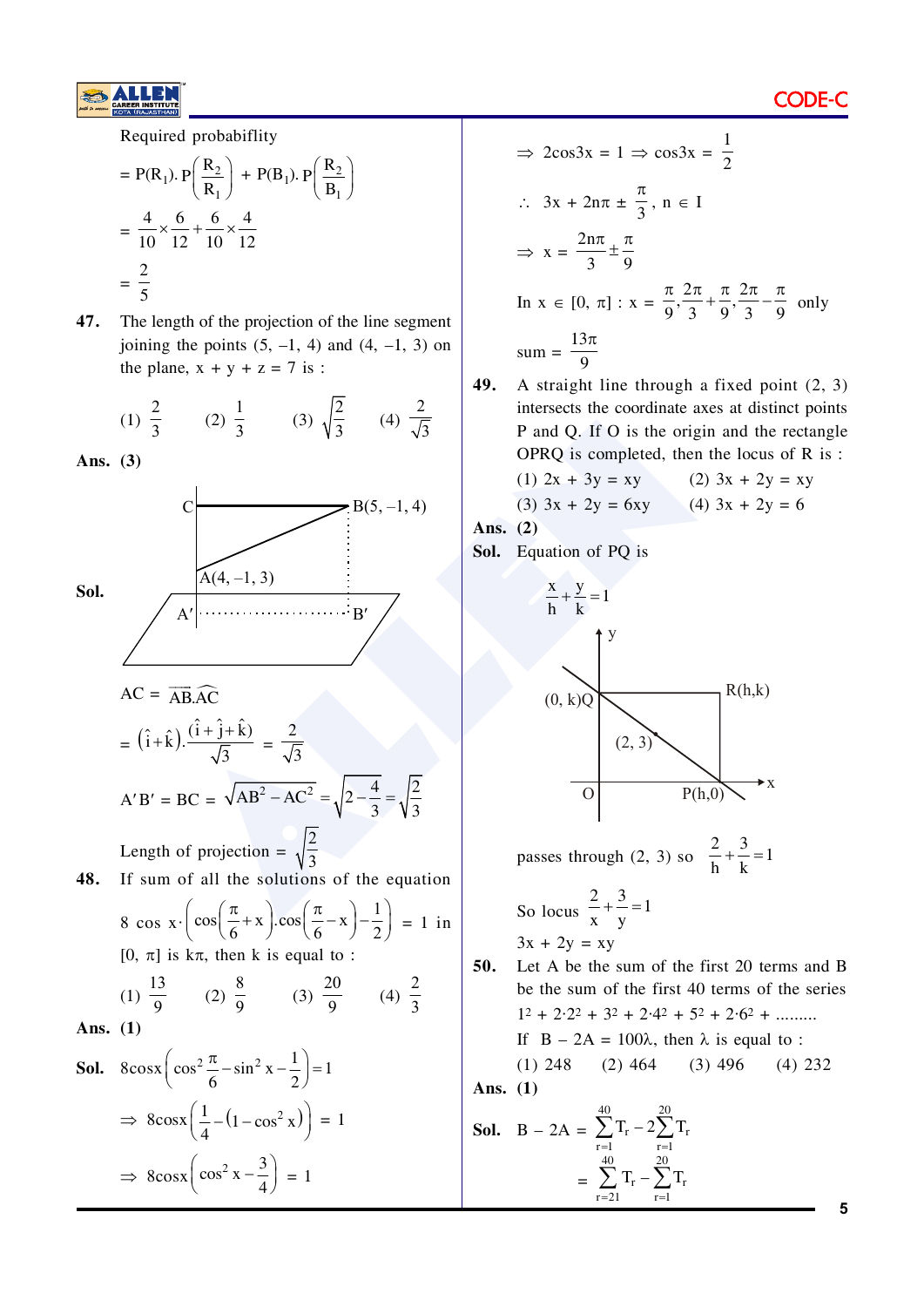Required probabiflity

$$
= P(R_1). P\left(\frac{R_2}{R_1}\right) + P(B_1). P\left(\frac{R_2}{B_1}\right)
$$
  
=  $\frac{4}{10} \times \frac{6}{12} + \frac{6}{10} \times \frac{4}{12}$   
=  $\frac{2}{5}$ 

47. The length of the projection of the line segment joining the points  $(5, -1, 4)$  and  $(4, -1, 3)$  on the plane,  $x + y + z = 7$  is :

(1) 
$$
\frac{2}{3}
$$
 (2)  $\frac{1}{3}$  (3)  $\sqrt{\frac{2}{3}}$  (4)  $\frac{2}{\sqrt{3}}$ 

Ans.  $(3)$ 



$$
\Rightarrow 2\cos 3x = 1 \Rightarrow \cos 3x = \frac{1}{2}
$$
  
\n
$$
\therefore 3x + 2n\pi \pm \frac{\pi}{3}, n \in I
$$
  
\n
$$
\Rightarrow x = \frac{2n\pi}{3} \pm \frac{\pi}{9}
$$
  
\nIn  $x \in [0, \pi] : x = \frac{\pi}{9}, \frac{2\pi}{3} + \frac{\pi}{9}, \frac{2\pi}{3} - \frac{\pi}{9}$  only  
\n
$$
\text{sum} = \frac{13\pi}{9}
$$

49. A straight line through a fixed point  $(2, 3)$ intersects the coordinate axes at distinct points P and Q. If O is the origin and the rectangle OPRQ is completed, then the locus of R is:

(1) 
$$
2x + 3y = xy
$$
  
(2)  $3x + 2y = xy$   
(3)  $3x + 2y = 6xy$   
(4)  $3x + 2y = 6$ 

Ans. 
$$
(2)
$$

Sol. Equation of PQ is



So locus 
$$
\frac{2}{x} + \frac{3}{y} = 1
$$
  
3x + 2y = xy

50. Let A be the sum of the first 20 terms and B be the sum of the first 40 terms of the series  $1^2 + 2 \cdot 2^2 + 3^2 + 2 \cdot 4^2 + 5^2 + 2 \cdot 6^2 + \dots$ If  $B - 2A = 100\lambda$ , then  $\lambda$  is equal to :  $(1)$  248  $(2)$  464  $(3)$  496  $(4)$  232

Ans.  $(1)$ 

**Sol.** 
$$
B - 2A = \sum_{r=1}^{40} T_r - 2 \sum_{r=1}^{20} T_r
$$
  
=  $\sum_{r=21}^{40} T_r - \sum_{r=1}^{20} T_r$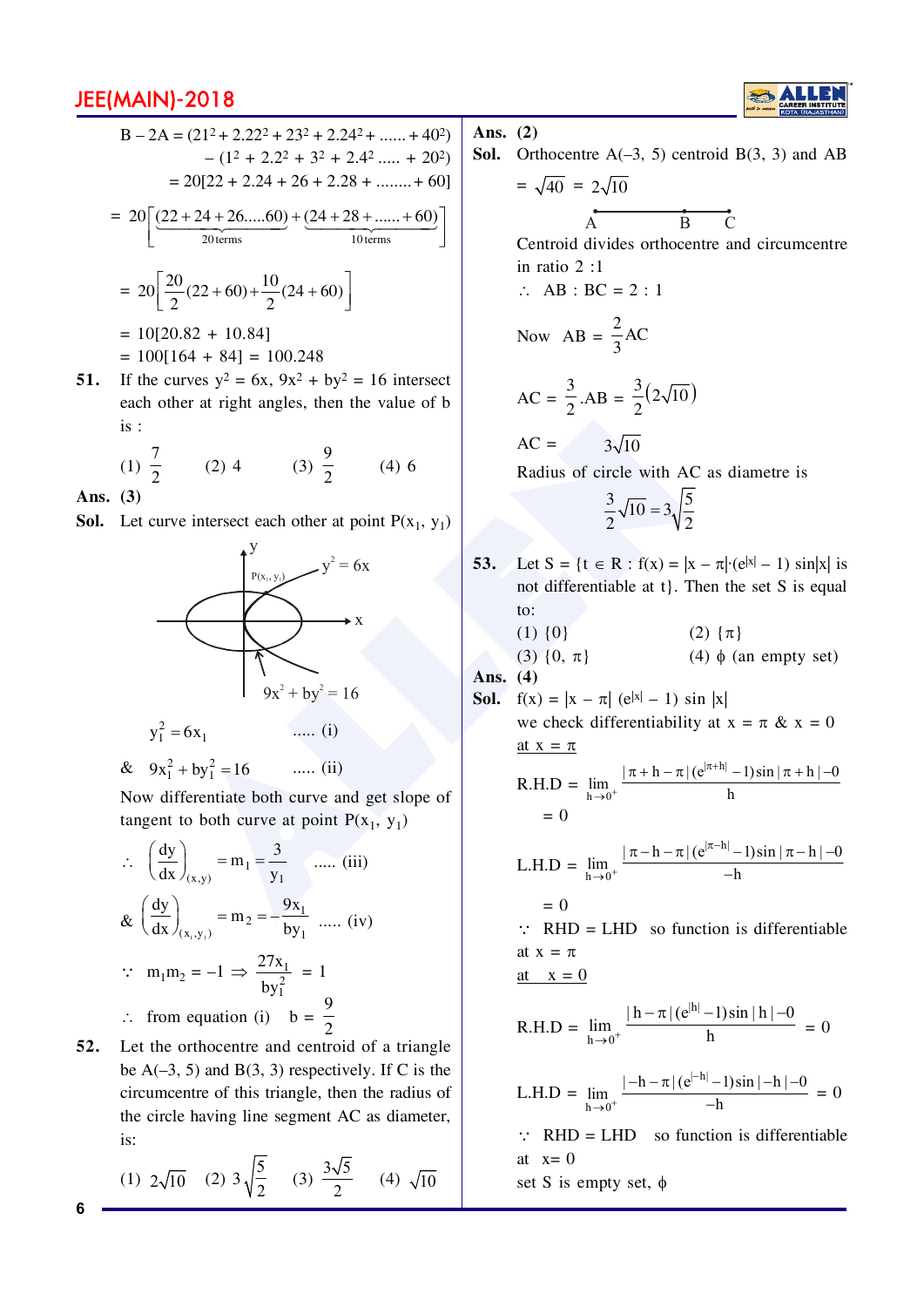$$
B - 2A = (212 + 2.222 + 232 + 2.242 + ...... + 402)
$$
  
\n
$$
- (12 + 2.22 + 32 + 2.42 ...... + 202)
$$
  
\n
$$
= 20[22 + 2.24 + 26 + 2.28 + ...... + 60]
$$
  
\n
$$
= 20\left[\frac{(22 + 24 + 26....60)}{20 \text{ terms}} + \frac{(24 + 28 + ...... + 60)}{10 \text{ terms}}\right]
$$
  
\n
$$
= 20\left[\frac{20}{2}(22 + 60) + \frac{10}{2}(24 + 60)\right]
$$
  
\n
$$
= 10[20.82 + 10.84]
$$
  
\n
$$
= 100[164 + 84] = 100.248
$$

If the curves  $y^2 = 6x$ ,  $9x^2 + by^2 = 16$  intersect 51. each other at right angles, then the value of b  $is:$ 

(1) 
$$
\frac{7}{2}
$$
 (2) 4 (3)  $\frac{9}{2}$  (4) 6

Ans.  $(3)$ 

6

**Sol.** Let curve intersect each other at point  $P(x_1, y_1)$ 



& 
$$
9x_1^2 + by_1^2 = 16
$$
 ..... (ii)

Now differentiate both curve and get slope of tangent to both curve at point  $P(x_1, y_1)$ 

$$
\therefore \quad \left(\frac{dy}{dx}\right)_{(x,y)} = m_1 = \frac{3}{y_1} \quad \dots \text{ (iii)}
$$
\n
$$
\& \left(\frac{dy}{dx}\right)_{(x_1, y_1)} = m_2 = -\frac{9x_1}{by_1} \quad \dots \text{ (iv)}
$$
\n
$$
\therefore \quad m_1 m_2 = -1 \implies \frac{27x_1}{by_1^2} = 1
$$
\n
$$
\therefore \quad \text{from equation (i)} \quad b = \frac{9}{2}
$$

52. Let the orthocentre and centroid of a triangle be  $A(-3, 5)$  and  $B(3, 3)$  respectively. If C is the circumcentre of this triangle, then the radius of the circle having line segment AC as diameter, is:

(1) 
$$
2\sqrt{10}
$$
 (2)  $3\sqrt{\frac{5}{2}}$  (3)  $\frac{3\sqrt{5}}{2}$  (4)  $\sqrt{10}$ 

Ans.  $(2)$ 

**Sol.** Orthocentre  $A(-3, 5)$  centroid  $B(3, 3)$  and AB  $=\sqrt{40} = 2\sqrt{10}$ 

$$
\overbrace{A} \qquad \qquad \overbrace{B} \quad \quad C
$$

Centroid divides orthocentre and circumcentre in ratio  $2 \cdot 1$ 

 $\therefore$  AB : BC = 2 : 1

Now 
$$
AB = \frac{2}{3}AC
$$

$$
AC = \frac{3}{2} .AB = \frac{3}{2}(2\sqrt{10})
$$

$$
AC = 3\sqrt{10}
$$

Radius of circle with AC as diametre is

$$
\frac{3}{2}\sqrt{10} = 3\sqrt{\frac{5}{2}}
$$

- Let S = {t  $\in$  R : f(x) = |x  $\pi$ | (e|x| 1) sin|x| is 53. not differentiable at t. Then the set S is equal to:  $(1)$   $\{0\}$ (2)  $\{\pi\}$  $(4)$   $\phi$  (an empty set)  $(3) \{0, \pi\}$ Ans.  $(4)$ **Sol.**  $f(x) = |x - \pi| (e^{|x|} - 1) \sin |x|$ we check differentiability at  $x = \pi \& x = 0$ at  $x = \pi$ R.H.D =  $\lim_{h \to 0^+} \frac{|\pi + h - \pi|(e^{|\pi + h|} - 1)\sin |\pi + h| - 0}{h}$  $= 0$ L.H.D =  $\lim_{h \to 0^+} \frac{|\pi - h - \pi|(e^{|\pi - h|} - 1)\sin |\pi - h| - 0}{-h}$  $= 0$ 
	- $\therefore$  RHD = LHD so function is differentiable at  $x = \pi$ at  $x = 0$

R.H.D = 
$$
\lim_{h \to 0^+} \frac{|h - \pi|(e^{|h|} - 1)\sin|h| - 0}{h} = 0
$$

L.H.D = 
$$
\lim_{h \to 0^+} \frac{|-h - \pi|(e^{|-h|} - 1)\sin|-h| - 0}{-h} = 0
$$

 $\therefore$  RHD = LHD so function is differentiable at  $x=0$ 

set S is empty set,  $\phi$ 

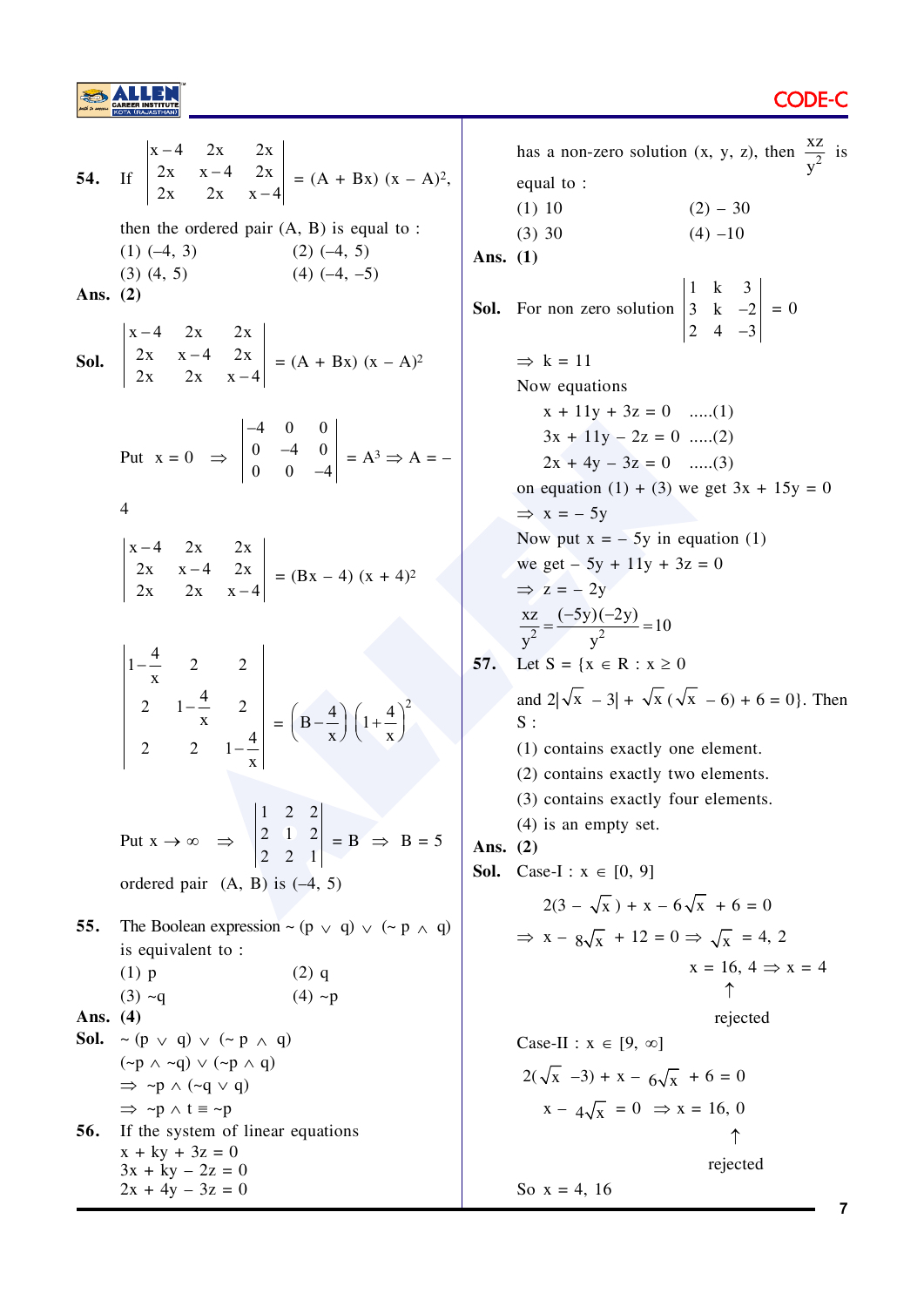

 $|x-4|$  $2x$  $\begin{vmatrix} 2x & x-4 & 2x \\ 2x & 2x & x-4 \end{vmatrix}$  =  $(A + Bx) (x - A)^2$ , 54.  $If$ then the ordered pair  $(A, B)$  is equal to :  $(1)$   $(-4, 3)$  $(2)$   $(-4, 5)$  $(3)$   $(4, 5)$  $(4)$   $(-4, -5)$ Ans.  $(2)$ **Sol.**  $\begin{vmatrix} x-4 & 2x & 2x \\ 2x & x-4 & 2x \\ 2x & 2x & x-4 \end{vmatrix} = (A + Bx) (x - A)^2$ Put  $x = 0$   $\Rightarrow$   $\begin{vmatrix} -4 & 0 & 0 \\ 0 & -4 & 0 \\ 0 & 0 & -4 \end{vmatrix} = A^3 \Rightarrow A = \overline{4}$  $\begin{vmatrix} x-4 & 2x & 2x \\ 2x & x-4 & 2x \\ 2x & 2x & x-4 \end{vmatrix}$  = (Bx - 4) (x + 4)<sup>2</sup>  $\begin{vmatrix} 1 - \frac{4}{x} & 2 & 2 \\ 2 & 1 - \frac{4}{x} & 2 \\ 2 & 2 & 1 - \frac{4}{x} \end{vmatrix} = \left( B - \frac{4}{x} \right) \left( 1 + \frac{4}{x} \right)^2$ Put  $x \rightarrow \infty$   $\Rightarrow$   $\begin{vmatrix} 1 & 2 & 2 \\ 2 & 1 & 2 \\ 2 & 2 & 1 \end{vmatrix} = B \Rightarrow B = 5$ ordered pair  $(A, B)$  is  $(-4, 5)$ The Boolean expression  $\sim (p \vee q) \vee (\sim p \wedge q)$ 55. is equivalent to:  $(1)$  p  $(2)$  q  $(3)$  ~q  $(4)$  ~p Ans.  $(4)$ **Sol.**  $\sim$  (p  $\vee$  q)  $\vee$  ( $\sim$  p  $\wedge$  q)  $(\neg p \land \neg q) \lor (\neg p \land q)$  $\Rightarrow \neg p \land (\neg q \lor q)$  $\Rightarrow \neg p \land t \equiv \neg p$ If the system of linear equations 56.  $x + ky + 3z = 0$  $3x + ky - 2z = 0$  $2x + 4y - 3z = 0$ 

has a non-zero solution (x, y, z), then  $\frac{XZ}{x^2}$  is equal to:  $(1) 10$  $(2) - 30$  $(3) 30$  $(4) -10$ Ans.  $(1)$ **Sol.** For non zero solution  $\begin{vmatrix} 1 & k & 3 \\ 3 & k & -2 \\ 2 & 4 & -3 \end{vmatrix} = 0$  $\Rightarrow$  k = 11 Now equations  $x + 11y + 3z = 0$  .....(1)  $3x + 11y - 2z = 0$  .....(2)  $2x + 4y - 3z = 0$  .....(3) on equation (1) + (3) we get  $3x + 15y = 0$  $\Rightarrow$  x = - 5y Now put  $x = -5y$  in equation (1) we get – 5y + 11y + 3z = 0  $\Rightarrow$  z = - 2y  $\frac{xz}{v^2} = \frac{(-5y)(-2y)}{v^2} = 10$  $57.$ Let  $S = \{x \in R : x \geq 0\}$ and  $2|\sqrt{x} - 3| + \sqrt{x} (\sqrt{x} - 6) + 6 = 0$ . Then  $S:$ (1) contains exactly one element. (2) contains exactly two elements. (3) contains exactly four elements.  $(4)$  is an empty set. Ans.  $(2)$ **Sol.** Case-I:  $x \in [0, 9]$  $2(3 - \sqrt{x}) + x - 6\sqrt{x} + 6 = 0$  $\Rightarrow$  x -  $8\sqrt{x}$  + 12 = 0  $\Rightarrow$   $\sqrt{x}$  = 4, 2  $x = 16, 4 \Rightarrow x = 4$ rejected Case-II :  $x \in [9, \infty]$  $2(\sqrt{x} -3) + x - 6\sqrt{x} + 6 = 0$  $x - 4\sqrt{x} = 0 \Rightarrow x = 16, 0$  $\uparrow$ rejected So  $x = 4, 16$  $\overline{7}$